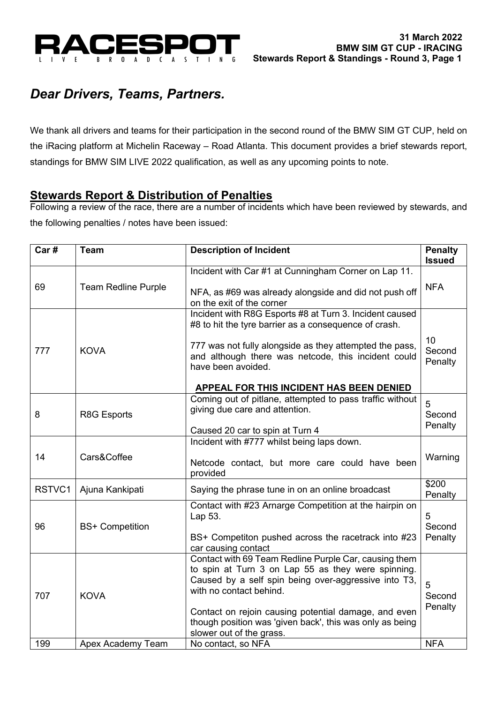

# *Dear Drivers, Teams, Partners.*

We thank all drivers and teams for their participation in the second round of the BMW SIM GT CUP, held on the iRacing platform at Michelin Raceway – Road Atlanta. This document provides a brief stewards report, standings for BMW SIM LIVE 2022 qualification, as well as any upcoming points to note.

## **Stewards Report & Distribution of Penalties**

Following a review of the race, there are a number of incidents which have been reviewed by stewards, and the following penalties / notes have been issued:

| Car#   | <b>Team</b>                                                                                                                                                               | <b>Description of Incident</b>                                                                                                                                                                                                                                                                                                                 |                         |  |
|--------|---------------------------------------------------------------------------------------------------------------------------------------------------------------------------|------------------------------------------------------------------------------------------------------------------------------------------------------------------------------------------------------------------------------------------------------------------------------------------------------------------------------------------------|-------------------------|--|
|        |                                                                                                                                                                           | Incident with Car #1 at Cunningham Corner on Lap 11.                                                                                                                                                                                                                                                                                           |                         |  |
| 69     | <b>Team Redline Purple</b>                                                                                                                                                | NFA, as #69 was already alongside and did not push off<br>on the exit of the corner                                                                                                                                                                                                                                                            | <b>NFA</b>              |  |
|        |                                                                                                                                                                           | Incident with R8G Esports #8 at Turn 3. Incident caused<br>#8 to hit the tyre barrier as a consequence of crash.                                                                                                                                                                                                                               |                         |  |
| 777    | <b>KOVA</b>                                                                                                                                                               | 777 was not fully alongside as they attempted the pass,<br>and although there was netcode, this incident could<br>have been avoided.                                                                                                                                                                                                           | 10<br>Second<br>Penalty |  |
|        |                                                                                                                                                                           | APPEAL FOR THIS INCIDENT HAS BEEN DENIED                                                                                                                                                                                                                                                                                                       |                         |  |
| 8      | R8G Esports                                                                                                                                                               | Coming out of pitlane, attempted to pass traffic without<br>giving due care and attention.                                                                                                                                                                                                                                                     | 5<br>Second             |  |
|        |                                                                                                                                                                           | Caused 20 car to spin at Turn 4                                                                                                                                                                                                                                                                                                                | Penalty                 |  |
|        |                                                                                                                                                                           | Incident with #777 whilst being laps down.                                                                                                                                                                                                                                                                                                     |                         |  |
| 14     | Cars&Coffee                                                                                                                                                               | Netcode contact, but more care could have been<br>provided                                                                                                                                                                                                                                                                                     | Warning<br>\$200        |  |
| RSTVC1 | Ajuna Kankipati                                                                                                                                                           | Saying the phrase tune in on an online broadcast                                                                                                                                                                                                                                                                                               |                         |  |
| 96     | Contact with #23 Arnarge Competition at the hairpin on<br>Lap 53.<br><b>BS+ Competition</b><br>BS+ Competiton pushed across the racetrack into #23<br>car causing contact |                                                                                                                                                                                                                                                                                                                                                | 5<br>Second<br>Penalty  |  |
| 707    | <b>KOVA</b>                                                                                                                                                               | Contact with 69 Team Redline Purple Car, causing them<br>to spin at Turn 3 on Lap 55 as they were spinning.<br>Caused by a self spin being over-aggressive into T3,<br>with no contact behind.<br>Contact on rejoin causing potential damage, and even<br>though position was 'given back', this was only as being<br>slower out of the grass. | 5<br>Second<br>Penalty  |  |
| 199    | Apex Academy Team                                                                                                                                                         | No contact, so NFA                                                                                                                                                                                                                                                                                                                             | <b>NFA</b>              |  |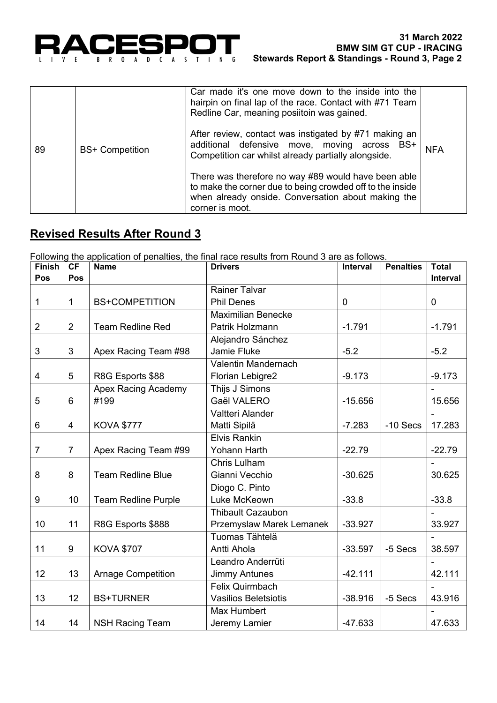

|    |                        | Car made it's one move down to the inside into the<br>hairpin on final lap of the race. Contact with #71 Team<br>Redline Car, meaning posiitoin was gained.                               |            |
|----|------------------------|-------------------------------------------------------------------------------------------------------------------------------------------------------------------------------------------|------------|
| 89 | <b>BS+ Competition</b> | After review, contact was instigated by #71 making an<br>additional defensive move, moving across BS+<br>Competition car whilst already partially alongside.                              | <b>NFA</b> |
|    |                        | There was therefore no way #89 would have been able<br>to make the corner due to being crowded off to the inside<br>when already onside. Conversation about making the<br>corner is moot. |            |

## **Revised Results After Round 3**

Following the application of penalties, the final race results from Round 3 are as follows.

| <b>Finish</b>  | CF              | <b>Name</b>                | <b>Drivers</b>              | Interval    | <b>Penalties</b> | <b>Total</b> |
|----------------|-----------------|----------------------------|-----------------------------|-------------|------------------|--------------|
| Pos            | Pos             |                            |                             |             |                  | Interval     |
|                |                 |                            | <b>Rainer Talvar</b>        |             |                  |              |
| 1              | 1               | <b>BS+COMPETITION</b>      | <b>Phil Denes</b>           | $\mathbf 0$ |                  | $\pmb{0}$    |
|                |                 |                            | <b>Maximilian Benecke</b>   |             |                  |              |
| $\overline{2}$ | $\overline{2}$  | <b>Team Redline Red</b>    | Patrik Holzmann             | $-1.791$    |                  | $-1.791$     |
|                |                 |                            | Alejandro Sánchez           |             |                  |              |
| 3              | $\mathfrak{S}$  | Apex Racing Team #98       | Jamie Fluke                 | $-5.2$      |                  | $-5.2$       |
|                |                 |                            | Valentin Mandernach         |             |                  |              |
| 4              | 5               | R8G Esports \$88           | Florian Lebigre2            | $-9.173$    |                  | $-9.173$     |
|                |                 | <b>Apex Racing Academy</b> | Thijs J Simons              |             |                  |              |
| 5              | $6\phantom{1}6$ | #199                       | Gaël VALERO                 | $-15.656$   |                  | 15.656       |
|                |                 |                            | Valtteri Alander            |             |                  |              |
| 6              | $\overline{4}$  | <b>KOVA \$777</b>          | Matti Sipilä                | $-7.283$    | $-10$ Secs       | 17.283       |
|                |                 |                            | <b>Elvis Rankin</b>         |             |                  |              |
| $\overline{7}$ | $\overline{7}$  | Apex Racing Team #99       | Yohann Harth                | $-22.79$    |                  | $-22.79$     |
|                |                 |                            | Chris Lulham                |             |                  |              |
| 8              | 8               | <b>Team Redline Blue</b>   | Gianni Vecchio              | $-30.625$   |                  | 30.625       |
|                |                 |                            | Diogo C. Pinto              |             |                  |              |
| 9              | 10              | <b>Team Redline Purple</b> | Luke McKeown                | $-33.8$     |                  | $-33.8$      |
|                |                 |                            | <b>Thibault Cazaubon</b>    |             |                  |              |
| 10             | 11              | R8G Esports \$888          | Przemyslaw Marek Lemanek    | $-33.927$   |                  | 33.927       |
|                |                 |                            | Tuomas Tähtelä              |             |                  |              |
| 11             | 9               | <b>KOVA \$707</b>          | Antti Ahola                 | $-33.597$   | -5 Secs          | 38.597       |
|                |                 |                            | Leandro Anderrüti           |             |                  |              |
| 12             | 13              | <b>Arnage Competition</b>  | <b>Jimmy Antunes</b>        | $-42.111$   |                  | 42.111       |
|                |                 |                            | Felix Quirmbach             |             |                  |              |
| 13             | 12              | <b>BS+TURNER</b>           | <b>Vasilios Beletsiotis</b> | $-38.916$   | -5 Secs          | 43.916       |
|                |                 |                            | Max Humbert                 |             |                  |              |
| 14             | 14              | <b>NSH Racing Team</b>     | Jeremy Lamier               | $-47.633$   |                  | 47.633       |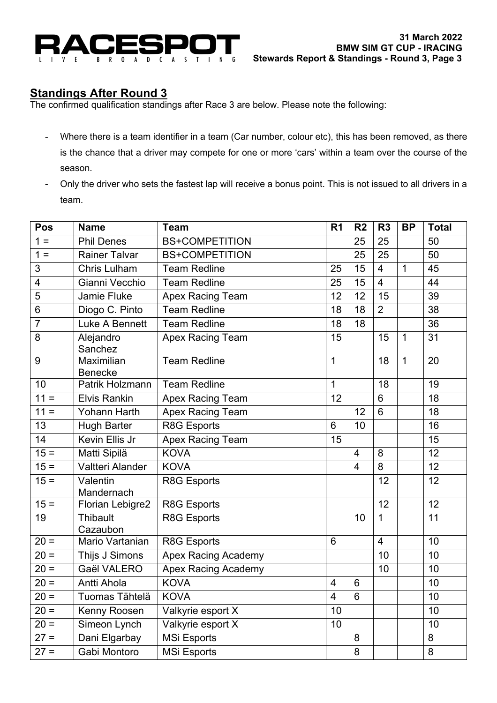

## **Standings After Round 3**

The confirmed qualification standings after Race 3 are below. Please note the following:

- Where there is a team identifier in a team (Car number, colour etc), this has been removed, as there is the chance that a driver may compete for one or more 'cars' within a team over the course of the season.
- Only the driver who sets the fastest lap will receive a bonus point. This is not issued to all drivers in a team.

| Pos                     | <b>Name</b>                  | <b>Team</b>                | R <sub>1</sub> | R <sub>2</sub> | R <sub>3</sub> | <b>BP</b>    | <b>Total</b> |
|-------------------------|------------------------------|----------------------------|----------------|----------------|----------------|--------------|--------------|
| $1 =$                   | <b>Phil Denes</b>            | <b>BS+COMPETITION</b>      |                | 25             | 25             |              | 50           |
| $1 =$                   | <b>Rainer Talvar</b>         | <b>BS+COMPETITION</b>      |                | 25             | 25             |              | 50           |
| 3                       | Chris Lulham                 | <b>Team Redline</b>        | 25             | 15             | $\overline{4}$ | $\mathbf{1}$ | 45           |
| $\overline{\mathbf{4}}$ | Gianni Vecchio               | <b>Team Redline</b>        | 25             | 15             | $\overline{4}$ |              | 44           |
| 5                       | Jamie Fluke                  | <b>Apex Racing Team</b>    | 12             | 12             | 15             |              | 39           |
| 6                       | Diogo C. Pinto               | <b>Team Redline</b>        | 18             | 18             | $\overline{2}$ |              | 38           |
| $\overline{7}$          | Luke A Bennett               | <b>Team Redline</b>        | 18             | 18             |                |              | 36           |
| 8                       | Alejandro<br>Sanchez         | <b>Apex Racing Team</b>    | 15             |                | 15             | $\mathbf{1}$ | 31           |
| 9                       | Maximilian<br><b>Benecke</b> | <b>Team Redline</b>        | 1              |                | 18             | $\mathbf{1}$ | 20           |
| 10                      | Patrik Holzmann              | <b>Team Redline</b>        | $\mathbf 1$    |                | 18             |              | 19           |
| $11 =$                  | <b>Elvis Rankin</b>          | <b>Apex Racing Team</b>    | 12             |                | 6              |              | 18           |
| $11 =$                  | Yohann Harth                 | <b>Apex Racing Team</b>    |                | 12             | $6\phantom{1}$ |              | 18           |
| $\overline{13}$         | <b>Hugh Barter</b>           | R8G Esports                | 6              | 10             |                |              | 16           |
| 14                      | Kevin Ellis Jr               | <b>Apex Racing Team</b>    | 15             |                |                |              | 15           |
| $15 =$                  | Matti Sipilä                 | <b>KOVA</b>                |                | 4              | 8              |              | 12           |
| $15 =$                  | Valtteri Alander             | <b>KOVA</b>                |                | $\overline{4}$ | 8              |              | 12           |
| $15 =$                  | Valentin<br>Mandernach       | R8G Esports                |                |                | 12             |              | 12           |
| $15 =$                  | Florian Lebigre2             | R8G Esports                |                |                | 12             |              | 12           |
| 19                      | Thibault<br>Cazaubon         | R8G Esports                |                | 10             | 1              |              | 11           |
| $20 =$                  | Mario Vartanian              | R8G Esports                | 6              |                | $\overline{4}$ |              | 10           |
| $20 =$                  | Thijs J Simons               | <b>Apex Racing Academy</b> |                |                | 10             |              | 10           |
| $20 =$                  | Gaël VALERO                  | <b>Apex Racing Academy</b> |                |                | 10             |              | 10           |
| $20 =$                  | Antti Ahola                  | <b>KOVA</b>                | 4              | 6              |                |              | 10           |
| $20 =$                  | Tuomas Tähtelä               | <b>KOVA</b>                | $\overline{4}$ | $\overline{6}$ |                |              | 10           |
| $20 =$                  | Kenny Roosen                 | Valkyrie esport X          | 10             |                |                |              | 10           |
| $20 =$                  | Simeon Lynch                 | Valkyrie esport X          | 10             |                |                |              | 10           |
| $27 =$                  | Dani Elgarbay                | <b>MSi Esports</b>         |                | 8              |                |              | 8            |
| $27 =$                  | Gabi Montoro                 | <b>MSi Esports</b>         |                | $\,8\,$        |                |              | 8            |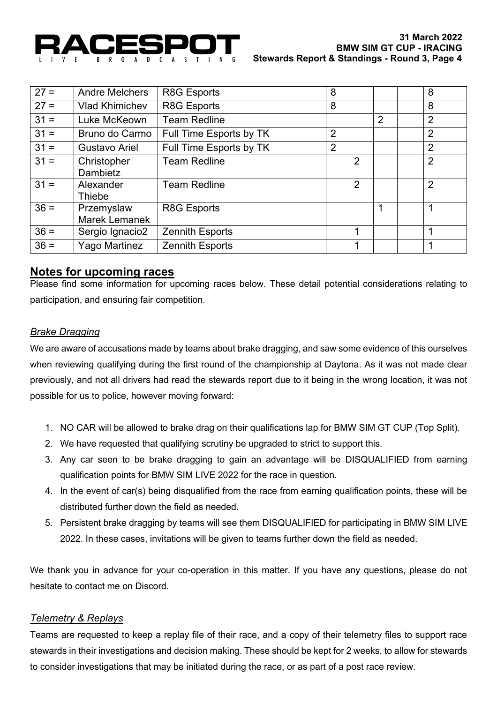

| $27 =$ | <b>Andre Melchers</b>       | R8G Esports             | 8              |   |   | 8              |
|--------|-----------------------------|-------------------------|----------------|---|---|----------------|
| $27 =$ | <b>Vlad Khimichev</b>       | R8G Esports             | 8              |   |   | 8              |
| $31 =$ | Luke McKeown                | <b>Team Redline</b>     |                |   | 2 | $\overline{2}$ |
| $31 =$ | Bruno do Carmo              | Full Time Esports by TK | $\overline{2}$ |   |   | $\overline{2}$ |
| $31 =$ | Gustavo Ariel               | Full Time Esports by TK | $\overline{2}$ |   |   | $\overline{2}$ |
| $31 =$ | Christopher<br>Dambietz     | <b>Team Redline</b>     |                | 2 |   | $\overline{2}$ |
| $31 =$ | Alexander<br><b>Thiebe</b>  | <b>Team Redline</b>     |                | 2 |   | $\overline{2}$ |
| $36 =$ | Przemyslaw<br>Marek Lemanek | R8G Esports             |                |   | 1 | 1              |
| $36 =$ | Sergio Ignacio2             | Zennith Esports         |                | 1 |   | 1              |
| $36 =$ | Yago Martinez               | <b>Zennith Esports</b>  |                |   |   | 1              |

### **Notes for upcoming races**

Please find some information for upcoming races below. These detail potential considerations relating to participation, and ensuring fair competition.

### *Brake Dragging*

We are aware of accusations made by teams about brake dragging, and saw some evidence of this ourselves when reviewing qualifying during the first round of the championship at Daytona. As it was not made clear previously, and not all drivers had read the stewards report due to it being in the wrong location, it was not possible for us to police, however moving forward:

- 1. NO CAR will be allowed to brake drag on their qualifications lap for BMW SIM GT CUP (Top Split).
- 2. We have requested that qualifying scrutiny be upgraded to strict to support this.
- 3. Any car seen to be brake dragging to gain an advantage will be DISQUALIFIED from earning qualification points for BMW SIM LIVE 2022 for the race in question.
- 4. In the event of car(s) being disqualified from the race from earning qualification points, these will be distributed further down the field as needed.
- 5. Persistent brake dragging by teams will see them DISQUALIFIED for participating in BMW SIM LIVE 2022. In these cases, invitations will be given to teams further down the field as needed.

We thank you in advance for your co-operation in this matter. If you have any questions, please do not hesitate to contact me on Discord.

#### *Telemetry & Replays*

Teams are requested to keep a replay file of their race, and a copy of their telemetry files to support race stewards in their investigations and decision making. These should be kept for 2 weeks, to allow for stewards to consider investigations that may be initiated during the race, or as part of a post race review.